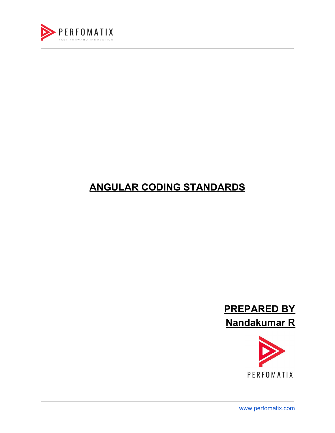

### **ANGULAR CODING STANDARDS**





[www.perfomatix.com](https://www.perfomatix.com/)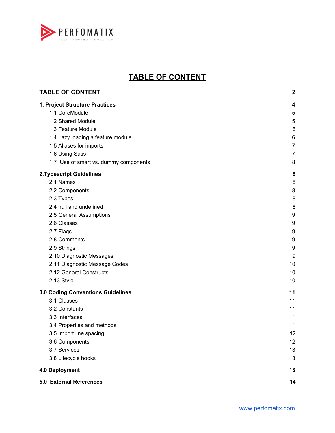

#### **TABLE OF CONTENT**

<span id="page-1-0"></span>

| <b>TABLE OF CONTENT</b>                                                                                                                                                                                                | $\boldsymbol{2}$                                               |
|------------------------------------------------------------------------------------------------------------------------------------------------------------------------------------------------------------------------|----------------------------------------------------------------|
| 1. Project Structure Practices<br>1.1 CoreModule<br>1.2 Shared Module<br>1.3 Feature Module<br>1.4 Lazy loading a feature module<br>1.5 Aliases for imports<br>1.6 Using Sass<br>1.7 Use of smart vs. dummy components | 4<br>5<br>5<br>6<br>6<br>$\overline{7}$<br>$\overline{7}$<br>8 |
| <b>2. Typescript Guidelines</b>                                                                                                                                                                                        | 8                                                              |
| 2.1 Names                                                                                                                                                                                                              | 8                                                              |
| 2.2 Components                                                                                                                                                                                                         | 8                                                              |
| 2.3 Types                                                                                                                                                                                                              | 8                                                              |
| 2.4 null and undefined                                                                                                                                                                                                 | 8                                                              |
| 2.5 General Assumptions                                                                                                                                                                                                | 9                                                              |
| 2.6 Classes                                                                                                                                                                                                            | 9                                                              |
| 2.7 Flags                                                                                                                                                                                                              | 9                                                              |
| 2.8 Comments                                                                                                                                                                                                           | 9                                                              |
| 2.9 Strings                                                                                                                                                                                                            | 9                                                              |
| 2.10 Diagnostic Messages                                                                                                                                                                                               | 9                                                              |
| 2.11 Diagnostic Message Codes                                                                                                                                                                                          | 10                                                             |
| 2.12 General Constructs                                                                                                                                                                                                | 10                                                             |
| 2.13 Style                                                                                                                                                                                                             | 10                                                             |
| 3.0 Coding Conventions Guidelines                                                                                                                                                                                      | 11                                                             |
| 3.1 Classes                                                                                                                                                                                                            | 11                                                             |
| 3.2 Constants                                                                                                                                                                                                          | 11                                                             |
| 3.3 Interfaces                                                                                                                                                                                                         | 11                                                             |
| 3.4 Properties and methods                                                                                                                                                                                             | 11                                                             |
| 3.5 Import line spacing                                                                                                                                                                                                | 12                                                             |
| 3.6 Components                                                                                                                                                                                                         | 12                                                             |
| 3.7 Services                                                                                                                                                                                                           | 13                                                             |
| 3.8 Lifecycle hooks                                                                                                                                                                                                    | 13                                                             |
| 4.0 Deployment                                                                                                                                                                                                         | 13                                                             |
| 5.0 External References                                                                                                                                                                                                | 14                                                             |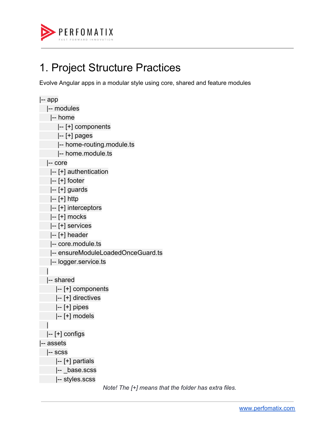

### <span id="page-2-0"></span>1. Project Structure Practices

Evolve Angular apps in a modular style using core, shared and feature modules

```
|-- app
   |-- modules
    |-- home
       |-- [+] components
       |-- [+] pages
       |-- home-routing.module.ts
       |-- home.module.ts
   |-- core
  |-- [+] authentication
    |-- [+] footer
  |-- [+] guards
   |-- [+] http
   |-- [+] interceptors
   |-- [+] mocks
  |-- [+] services
  |-- [+] header
   |-- core.module.ts
    |-- ensureModuleLoadedOnceGuard.ts
    |-- logger.service.ts
   |
   |-- shared
      |-- [+] components
      |-- [+] directives
      |-- [+] pipes
      |-- [+] models
   |
   |-- [+] configs
|-- assets
   |-- scss
      |-- [+] partials
    |-- _base.scss
       |-- styles.scss
```
*Note! The [+] means that the folder has extra files.*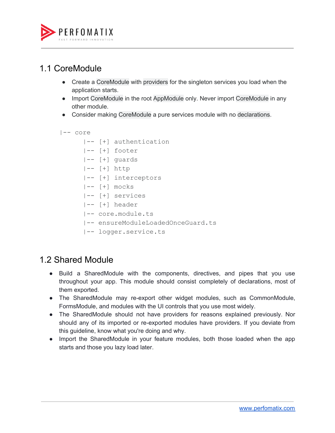

#### <span id="page-3-0"></span>1.1 CoreModule

- Create a CoreModule with providers for the singleton services you load when the application starts.
- Import CoreModule in the root AppModule only. Never import CoreModule in any other module.
- Consider making CoreModule a pure services module with no declarations.

```
|-- core
```

```
 |-- [+] authentication
```
- |-- [+] footer
- |-- [+] guards
- |-- [+] http
- |-- [+] interceptors
- $|- |+$ ] mocks
- |-- [+] services
- |-- [+] header
- |-- core.module.ts
- |-- ensureModuleLoadedOnceGuard.ts
- |-- logger.service.ts

#### <span id="page-3-1"></span>1.2 Shared Module

- Build a SharedModule with the components, directives, and pipes that you use throughout your app. This module should consist completely of declarations, most of them exported.
- The SharedModule may re-export other widget modules, such as CommonModule, FormsModule, and modules with the UI controls that you use most widely.
- The SharedModule should not have providers for reasons explained previously. Nor should any of its imported or re-exported modules have providers. If you deviate from this guideline, know what you're doing and why.
- Import the SharedModule in your feature modules, both those loaded when the app starts and those you lazy load later.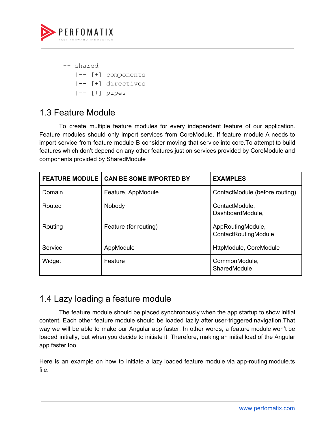

|-- shared |-- [+] components |-- [+] directives |-- [+] pipes

#### <span id="page-4-0"></span>1.3 Feature Module

To create multiple feature modules for every independent feature of our application. Feature modules should only import services from CoreModule. If feature module A needs to import service from feature module B consider moving that service into core.To attempt to build features which don't depend on any other features just on services provided by CoreModule and components provided by SharedModule

| <b>FEATURE MODULE</b> | <b>CAN BE SOME IMPORTED BY</b> | <b>EXAMPLES</b>                           |
|-----------------------|--------------------------------|-------------------------------------------|
| Domain                | Feature, AppModule             | ContactModule (before routing)            |
| Routed                | Nobody                         | ContactModule,<br>DashboardModule,        |
| Routing               | Feature (for routing)          | AppRoutingModule,<br>ContactRoutingModule |
| Service               | AppModule                      | HttpModule, CoreModule                    |
| Widget                | Feature                        | CommonModule,<br>SharedModule             |

#### <span id="page-4-1"></span>1.4 Lazy loading a feature module

The feature module should be placed synchronously when the app startup to show initial content. Each other feature module should be loaded lazily after user-triggered navigation.That way we will be able to make our Angular app faster. In other words, a feature module won't be loaded initially, but when you decide to initiate it. Therefore, making an initial load of the Angular app faster too

Here is an example on how to initiate a lazy loaded feature module via app-routing.module.ts file.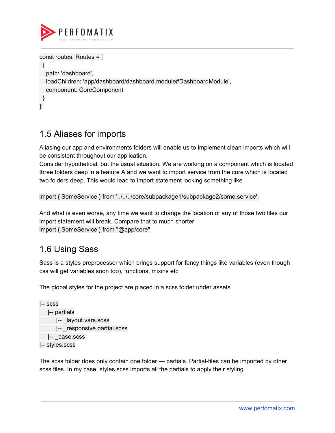

```
const routes: Routes = [
 {
  path: 'dashboard',
  loadChildren: 'app/dashboard/dashboard.module#DashboardModule',
  component: CoreComponent
}
];
```
#### <span id="page-5-0"></span>1.5 Aliases for imports

Aliasing our app and environments folders will enable us to implement clean imports which will be consistent throughout our application.

Consider hypothetical, but the usual situation. We are working on a component which is located three folders deep in a feature A and we want to import service from the core which is located two folders deep. This would lead to import statement looking something like

import { SomeService } from '../../../core/subpackage1/subpackage2/some.service'.

And what is even worse, any time we want to change the location of any of those two files our import statement will break. Compare that to much shorter import { SomeService } from "@app/core"

#### <span id="page-5-1"></span>1.6 Using Sass

Sass is a styles preprocessor which brings support for fancy things like variables (even though css will get variables soon too), functions, mixins etc

The global styles for the project are placed in a scss folder under assets .

```
|-- scss
   |-- partials
      |-- _layout.vars.scss
      |-- _responsive.partial.scss
   |-- _base.scss
|-- styles.scss
```
The scss folder does only contain one folder — partials. Partial-files can be imported by other scss files. In my case, styles.scss imports all the partials to apply their styling.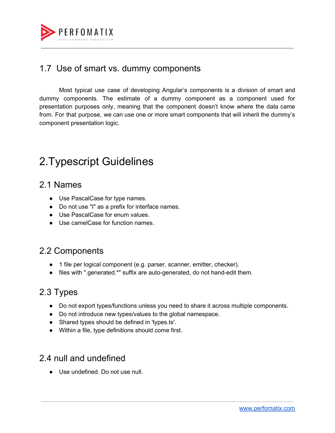

#### <span id="page-6-0"></span>1.7 Use of smart vs. dummy components

Most typical use case of developing Angular's components is a division of smart and dummy components. The estimate of a dummy component as a component used for presentation purposes only, meaning that the component doesn't know where the data came from. For that purpose, we can use one or more smart components that will inherit the dummy's component presentation logic.

### <span id="page-6-1"></span>2.Typescript Guidelines

#### <span id="page-6-2"></span>2.1 Names

- Use PascalCase for type names.
- Do not use "I" as a prefix for interface names.
- Use PascalCase for enum values.
- Use camelCase for function names.

#### <span id="page-6-3"></span>2.2 Components

- 1 file per logical component (e.g. parser, scanner, emitter, checker).
- files with ".generated.\*" suffix are auto-generated, do not hand-edit them.

#### <span id="page-6-4"></span>2.3 Types

- Do not export types/functions unless you need to share it across multiple components.
- Do not introduce new types/values to the global namespace.
- Shared types should be defined in 'types.ts'.
- Within a file, type definitions should come first.

#### <span id="page-6-5"></span>2.4 null and undefined

● Use undefined. Do not use null.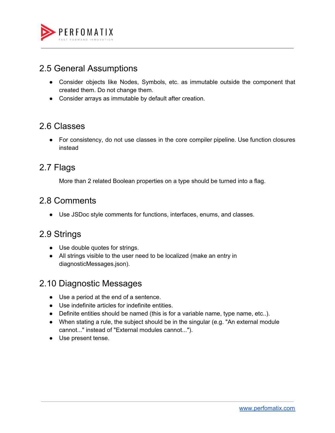

#### <span id="page-7-0"></span>2.5 General Assumptions

- Consider objects like Nodes, Symbols, etc. as immutable outside the component that created them. Do not change them.
- Consider arrays as immutable by default after creation.

#### <span id="page-7-1"></span>2.6 Classes

● For consistency, do not use classes in the core compiler pipeline. Use function closures instead

#### <span id="page-7-2"></span>2.7 Flags

More than 2 related Boolean properties on a type should be turned into a flag.

#### <span id="page-7-3"></span>2.8 Comments

● Use JSDoc style comments for functions, interfaces, enums, and classes.

#### <span id="page-7-4"></span>2.9 Strings

- Use double quotes for strings.
- All strings visible to the user need to be localized (make an entry in diagnosticMessages.json).

#### <span id="page-7-5"></span>2.10 Diagnostic Messages

- Use a period at the end of a sentence.
- Use indefinite articles for indefinite entities.
- Definite entities should be named (this is for a variable name, type name, etc..).
- When stating a rule, the subject should be in the singular (e.g. "An external module cannot..." instead of "External modules cannot...").
- Use present tense.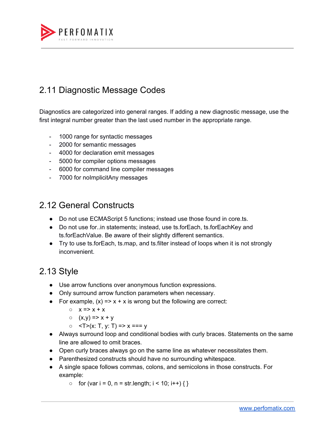

### <span id="page-8-0"></span>2.11 Diagnostic Message Codes

Diagnostics are categorized into general ranges. If adding a new diagnostic message, use the first integral number greater than the last used number in the appropriate range.

- 1000 range for syntactic messages
- 2000 for semantic messages
- 4000 for declaration emit messages
- 5000 for compiler options messages
- 6000 for command line compiler messages
- 7000 for noImplicitAny messages

#### <span id="page-8-1"></span>2.12 General Constructs

- Do not use ECMAScript 5 functions; instead use those found in core.ts.
- Do not use for..in statements; instead, use ts.forEach, ts.forEachKey and ts.forEachValue. Be aware of their slightly different semantics.
- Try to use ts.forEach, ts.map, and ts.filter instead of loops when it is not strongly inconvenient.

#### <span id="page-8-2"></span>2.13 Style

- Use arrow functions over anonymous function expressions.
- Only surround arrow function parameters when necessary.
- For example,  $(x) \Rightarrow x + x$  is wrong but the following are correct:
	- $\circ$   $x \Rightarrow x + x$
	- $O(X, V) \Rightarrow X + V$
	- $\circ$  <T>(x: T, y: T) => x === y
- Always surround loop and conditional bodies with curly braces. Statements on the same line are allowed to omit braces.
- Open curly braces always go on the same line as whatever necessitates them.
- Parenthesized constructs should have no surrounding whitespace.
- A single space follows commas, colons, and semicolons in those constructs. For example:
	- $\circ$  for (var i = 0, n = str.length; i < 10; i++) { }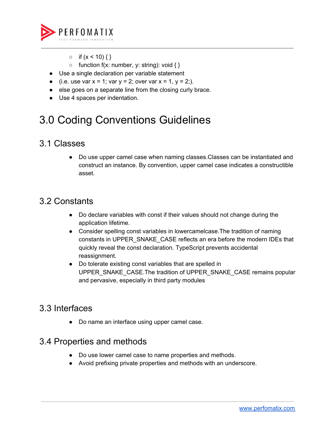

- $\circ$  if  $(x < 10)$  { }
- $\circ$  function f(x: number, y: string): void { }
- Use a single declaration per variable statement
- (i.e. use var  $x = 1$ ; var  $y = 2$ ; over var  $x = 1$ ,  $y = 2$ ;).
- else goes on a separate line from the closing curly brace.
- Use 4 spaces per indentation.

## 3.0 Coding Conventions Guidelines

#### <span id="page-9-0"></span>3.1 Classes

Do use upper camel case when naming classes. Classes can be instantiated and construct an instance. By convention, upper camel case indicates a constructible asset.

#### <span id="page-9-1"></span>3.2 Constants

- Do declare variables with const if their values should not change during the application lifetime.
- Consider spelling const variables in lowercamelcase.The tradition of naming constants in UPPER\_SNAKE\_CASE reflects an era before the modern IDEs that quickly reveal the const declaration. TypeScript prevents accidental reassignment.
- Do tolerate existing const variables that are spelled in UPPER\_SNAKE\_CASE.The tradition of UPPER\_SNAKE\_CASE remains popular and pervasive, especially in third party modules

#### <span id="page-9-2"></span>3.3 Interfaces

● Do name an interface using upper camel case.

#### <span id="page-9-3"></span>3.4 Properties and methods

- Do use lower camel case to name properties and methods.
- Avoid prefixing private properties and methods with an underscore.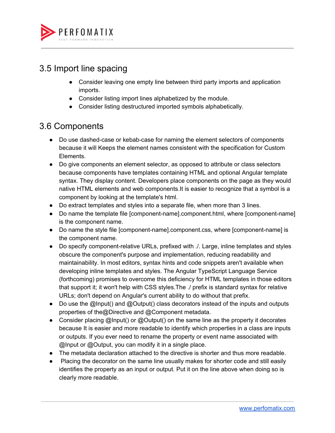

#### <span id="page-10-0"></span>3.5 Import line spacing

- Consider leaving one empty line between third party imports and application imports.
- Consider listing import lines alphabetized by the module.
- Consider listing destructured imported symbols alphabetically.

#### <span id="page-10-1"></span>3.6 Components

- Do use dashed-case or kebab-case for naming the element selectors of components because it will Keeps the element names consistent with the specification for Custom Elements.
- Do give components an element selector, as opposed to attribute or class selectors because components have templates containing HTML and optional Angular template syntax. They display content. Developers place components on the page as they would native HTML elements and web components.It is easier to recognize that a symbol is a component by looking at the template's html.
- Do extract templates and styles into a separate file, when more than 3 lines.
- Do name the template file [component-name].component.html, where [component-name] is the component name.
- Do name the style file [component-name].component.css, where [component-name] is the component name.
- Do specify component-relative URLs, prefixed with ./. Large, inline templates and styles obscure the component's purpose and implementation, reducing readability and maintainability. In most editors, syntax hints and code snippets aren't available when developing inline templates and styles. The Angular TypeScript Language Service (forthcoming) promises to overcome this deficiency for HTML templates in those editors that support it; it won't help with CSS styles.The ./ prefix is standard syntax for relative URLs; don't depend on Angular's current ability to do without that prefix.
- Do use the @Input() and @Output() class decorators instead of the inputs and outputs properties of the@Directive and @Component metadata.
- Consider placing @Input() or @Output() on the same line as the property it decorates because It is easier and more readable to identify which properties in a class are inputs or outputs. If you ever need to rename the property or event name associated with @Input or @Output, you can modify it in a single place.
- The metadata declaration attached to the directive is shorter and thus more readable.
- Placing the decorator on the same line usually makes for shorter code and still easily identifies the property as an input or output. Put it on the line above when doing so is clearly more readable.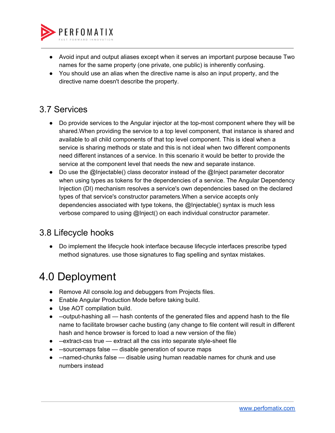

- Avoid input and output aliases except when it serves an important purpose because Two names for the same property (one private, one public) is inherently confusing.
- You should use an alias when the directive name is also an input property, and the directive name doesn't describe the property.

#### <span id="page-11-0"></span>3.7 Services

- Do provide services to the Angular injector at the top-most component where they will be shared.When providing the service to a top level component, that instance is shared and available to all child components of that top level component. This is ideal when a service is sharing methods or state and this is not ideal when two different components need different instances of a service. In this scenario it would be better to provide the service at the component level that needs the new and separate instance.
- Do use the @Injectable() class decorator instead of the @Inject parameter decorator when using types as tokens for the dependencies of a service. The Angular Dependency Injection (DI) mechanism resolves a service's own dependencies based on the declared types of that service's constructor parameters.When a service accepts only dependencies associated with type tokens, the @Injectable() syntax is much less verbose compared to using @Inject() on each individual constructor parameter.

#### <span id="page-11-1"></span>3.8 Lifecycle hooks

● Do implement the lifecycle hook interface because lifecycle interfaces prescribe typed method signatures. use those signatures to flag spelling and syntax mistakes.

### <span id="page-11-2"></span>4.0 Deployment

- Remove All console.log and debuggers from Projects files.
- Enable Angular Production Mode before taking build.
- Use AOT compilation build.
- --output-hashing all hash contents of the generated files and append hash to the file name to facilitate browser cache busting (any change to file content will result in different hash and hence browser is forced to load a new version of the file)
- --extract-css true extract all the css into separate style-sheet file
- --sourcemaps false disable generation of source maps
- --named-chunks false disable using human readable names for chunk and use numbers instead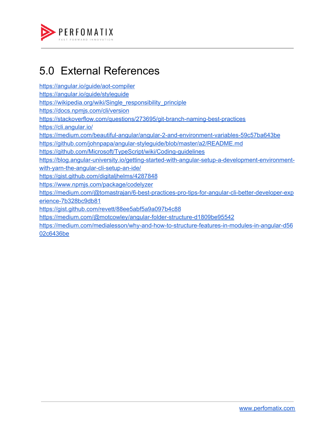

### <span id="page-12-0"></span>5.0 External References

<https://angular.io/guide/aot-compiler> [https://angular.io/guide/styleguide](https://angular.io/guide/aot-compiler) [https://wikipedia.org/wiki/Single\\_responsibility\\_principle](https://angular.io/guide/aot-compiler) [https://docs.npmjs.com/cli/version](https://angular.io/guide/aot-compiler) [https://stackoverflow.com/questions/273695/git-branch-naming-best-practices](https://angular.io/guide/aot-compiler) [https://cli.angular.io/](https://angular.io/guide/aot-compiler) [https://medium.com/beautiful-angular/angular-2-and-environment-variables-59c57ba643be](https://angular.io/guide/aot-compiler) [https://github.com/johnpapa/angular-styleguide/blob/master/a2/README.md](https://angular.io/guide/aot-compiler) [https://github.com/Microsoft/TypeScript/wiki/Coding-guidelines](https://angular.io/guide/aot-compiler) [https://blog.angular-university.io/getting-started-with-angular-setup-a-development-environment](https://angular.io/guide/aot-compiler)[with-yarn-the-angular-cli-setup-an-ide/](https://angular.io/guide/aot-compiler) [https://gist.github.com/digitaljhelms/4287848](https://angular.io/guide/aot-compiler) [https://www.npmjs.com/package/codelyzer](https://angular.io/guide/aot-compiler) [https://medium.com/@tomastrajan/6-best-practices-pro-tips-for-angular-cli-better-developer-exp](https://angular.io/guide/aot-compiler) [erience-7b328bc9db81](https://angular.io/guide/aot-compiler) [https://gist.github.com/revett/88ee5abf5a9a097b4c88](https://angular.io/guide/aot-compiler) <https://medium.com/@motcowley/angular-folder-structure-d1809be95542> [https://medium.com/medialesson/why-and-how-to-structure-features-in-modules-in-angular-d56](https://medium.com/medialesson/why-and-how-to-structure-features-in-modules-in-angular-d5602c6436be) [02c6436be](https://medium.com/medialesson/why-and-how-to-structure-features-in-modules-in-angular-d5602c6436be)